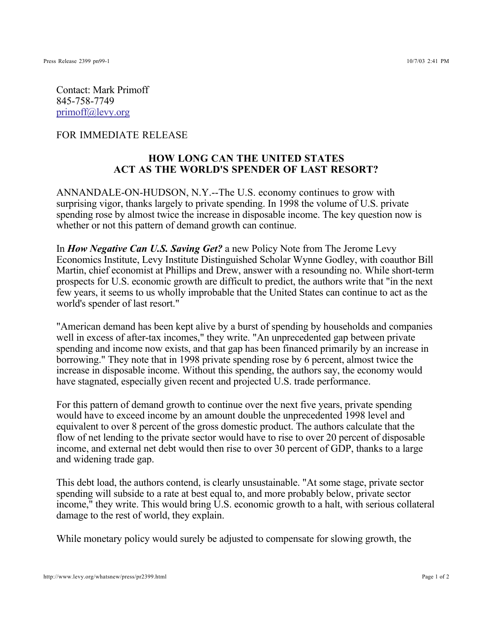Contact: Mark Primoff 845-758-7749 primoff@levy.org

FOR IMMEDIATE RELEASE

## **HOW LONG CAN THE UNITED STATES ACT AS THE WORLD'S SPENDER OF LAST RESORT?**

ANNANDALE-ON-HUDSON, N.Y.--The U.S. economy continues to grow with surprising vigor, thanks largely to private spending. In 1998 the volume of U.S. private spending rose by almost twice the increase in disposable income. The key question now is whether or not this pattern of demand growth can continue.

In How Negative Can U.S. Saving Get? a new Policy Note from The Jerome Levy Economics Institute, Levy Institute Distinguished Scholar Wynne Godley, with coauthor Bill Martin, chief economist at Phillips and Drew, answer with a resounding no. While short-term prospects for U.S. economic growth are difficult to predict, the authors write that "in the next few years, it seems to us wholly improbable that the United States can continue to act as the world's spender of last resort."

"American demand has been kept alive by a burst of spending by households and companies well in excess of after-tax incomes," they write. "An unprecedented gap between private spending and income now exists, and that gap has been financed primarily by an increase in borrowing." They note that in 1998 private spending rose by 6 percent, almost twice the increase in disposable income. Without this spending, the authors say, the economy would have stagnated, especially given recent and projected U.S. trade performance.

For this pattern of demand growth to continue over the next five years, private spending would have to exceed income by an amount double the unprecedented 1998 level and equivalent to over 8 percent of the gross domestic product. The authors calculate that the flow of net lending to the private sector would have to rise to over 20 percent of disposable income, and external net debt would then rise to over 30 percent of GDP, thanks to a large and widening trade gap.

This debt load, the authors contend, is clearly unsustainable. "At some stage, private sector spending will subside to a rate at best equal to, and more probably below, private sector income," they write. This would bring U.S. economic growth to a halt, with serious collateral damage to the rest of world, they explain.

While monetary policy would surely be adjusted to compensate for slowing growth, the